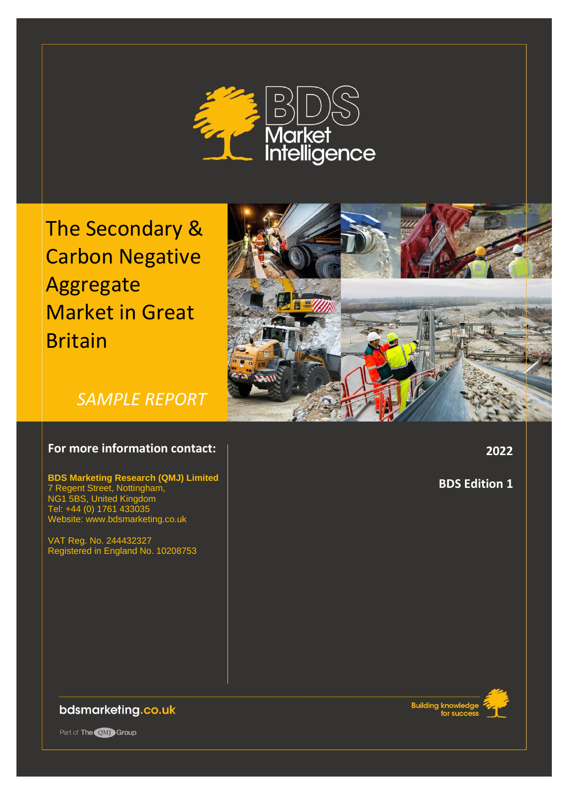

The Secondary & Carbon Negative Aggregate Market in Great Britain



*SAMPLE REPORT*

## **For more information contact:**

**BDS Marketing Research (QMJ) Limited** 7 Regent Street, Nottingham, NG1 5BS, United Kingdom Tel: +44 (0) 1761 433035 Website: www.bdsmarketing.co.uk

VAT Reg. No. 244432327 Registered in England No. 10208753 **2022**

**BDS Edition 1**

bdsmarketing.co.uk

Part of The OMJ Group

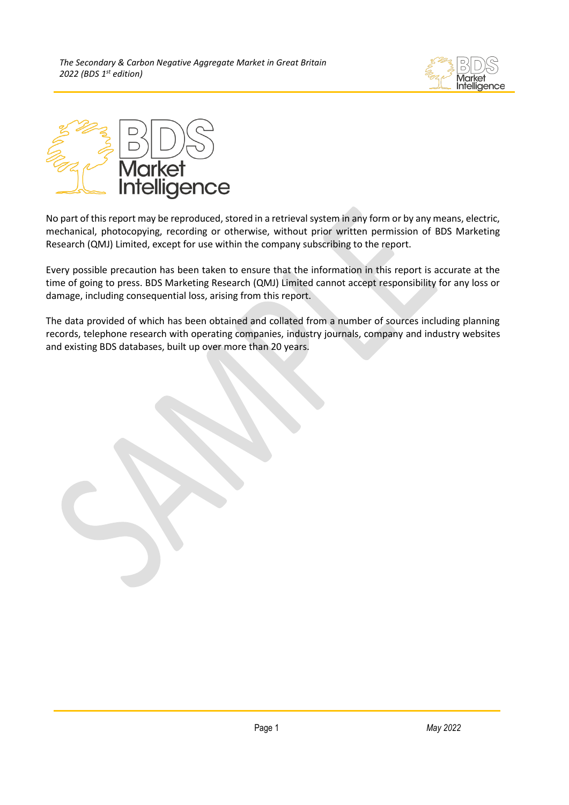



No part of this report may be reproduced, stored in a retrieval system in any form or by any means, electric, mechanical, photocopying, recording or otherwise, without prior written permission of BDS Marketing Research (QMJ) Limited, except for use within the company subscribing to the report.

Every possible precaution has been taken to ensure that the information in this report is accurate at the time of going to press. BDS Marketing Research (QMJ) Limited cannot accept responsibility for any loss or damage, including consequential loss, arising from this report.

The data provided of which has been obtained and collated from a number of sources including planning records, telephone research with operating companies, industry journals, company and industry websites and existing BDS databases, built up over more than 20 years.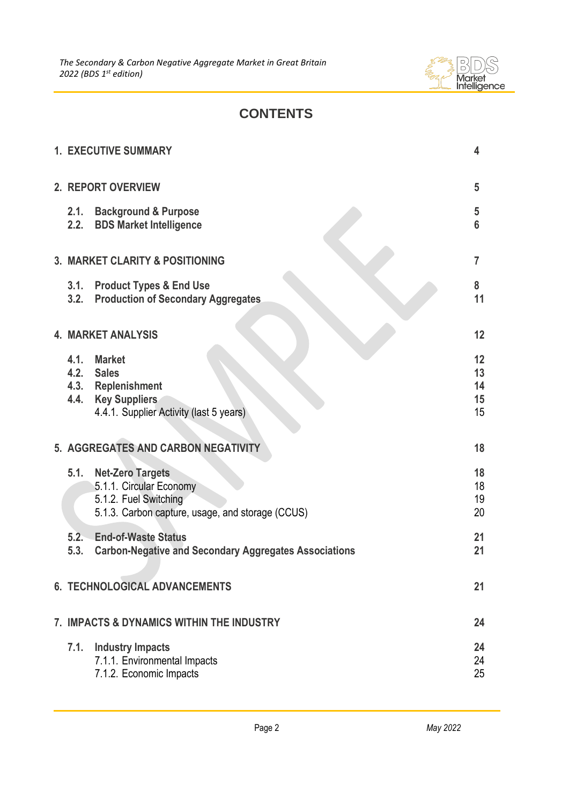

# **CONTENTS**

|                                            | <b>1. EXECUTIVE SUMMARY</b>                                                                                                     | 4                          |
|--------------------------------------------|---------------------------------------------------------------------------------------------------------------------------------|----------------------------|
|                                            | 2. REPORT OVERVIEW                                                                                                              | 5                          |
| 2.1.                                       | <b>Background &amp; Purpose</b><br>2.2. BDS Market Intelligence                                                                 | 5<br>$6\phantom{1}6$       |
| <b>3. MARKET CLARITY &amp; POSITIONING</b> |                                                                                                                                 |                            |
| 3.2.                                       | 3.1. Product Types & End Use<br><b>Production of Secondary Aggregates</b>                                                       | 8<br>11                    |
| <b>4. MARKET ANALYSIS</b>                  |                                                                                                                                 | 12                         |
| 4.1.<br>4.4.                               | <b>Market</b><br>4.2. Sales<br>4.3. Replenishment<br><b>Key Suppliers</b><br>4.4.1. Supplier Activity (last 5 years)            | 12<br>13<br>14<br>15<br>15 |
|                                            | 5. AGGREGATES AND CARBON NEGATIVITY                                                                                             | 18                         |
| 5.1.                                       | <b>Net-Zero Targets</b><br>5.1.1. Circular Economy<br>5.1.2. Fuel Switching<br>5.1.3. Carbon capture, usage, and storage (CCUS) | 18<br>18<br>19<br>20       |
| 5.3.                                       | 5.2. End-of-Waste Status<br><b>Carbon-Negative and Secondary Aggregates Associations</b>                                        | 21<br>21                   |
|                                            | <b>6. TECHNOLOGICAL ADVANCEMENTS</b>                                                                                            | 21                         |
| 7. IMPACTS & DYNAMICS WITHIN THE INDUSTRY  |                                                                                                                                 |                            |
| 7.1.                                       | <b>Industry Impacts</b><br>7.1.1. Environmental Impacts<br>7.1.2. Economic Impacts                                              | 24<br>24<br>25             |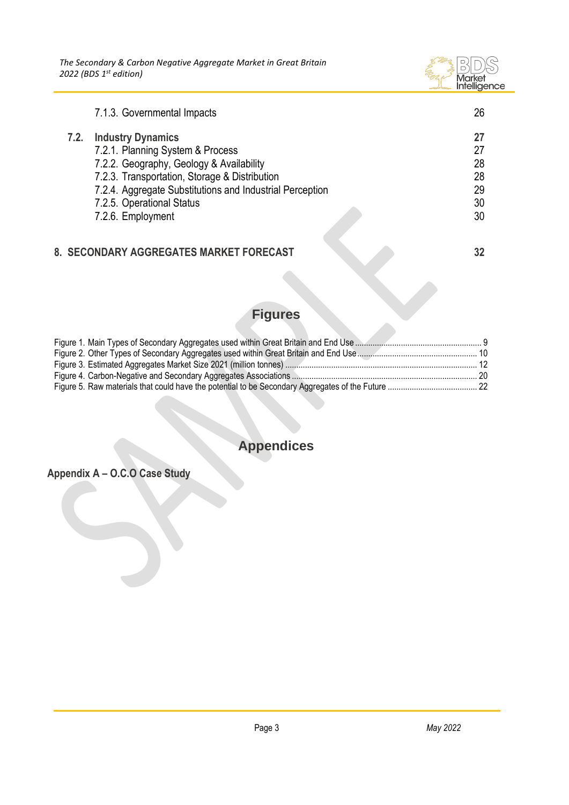*The Secondary & Carbon Negative Aggregate Market in Great Britain 2022 (BDS 1 st edition)*



|      | 7.1.3. Governmental Impacts                                                                                                                                                                                                                                             | 26                                     |
|------|-------------------------------------------------------------------------------------------------------------------------------------------------------------------------------------------------------------------------------------------------------------------------|----------------------------------------|
| 7.2. | <b>Industry Dynamics</b><br>7.2.1. Planning System & Process<br>7.2.2. Geography, Geology & Availability<br>7.2.3. Transportation, Storage & Distribution<br>7.2.4. Aggregate Substitutions and Industrial Perception<br>7.2.5. Operational Status<br>7.2.6. Employment | 27<br>27<br>28<br>28<br>29<br>30<br>30 |
|      | 8. SECONDARY AGGREGATES MARKET FORECAST                                                                                                                                                                                                                                 |                                        |

# **Figures**

# **Appendices**

**Appendix A – O.C.O Case Study**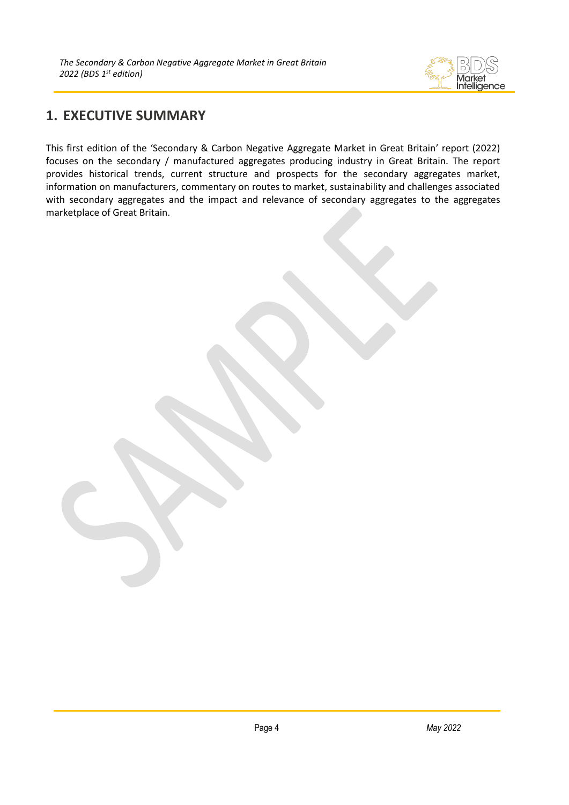

## <span id="page-4-0"></span>**1. EXECUTIVE SUMMARY**

This first edition of the 'Secondary & Carbon Negative Aggregate Market in Great Britain' report (2022) focuses on the secondary / manufactured aggregates producing industry in Great Britain. The report provides historical trends, current structure and prospects for the secondary aggregates market, information on manufacturers, commentary on routes to market, sustainability and challenges associated with secondary aggregates and the impact and relevance of secondary aggregates to the aggregates marketplace of Great Britain.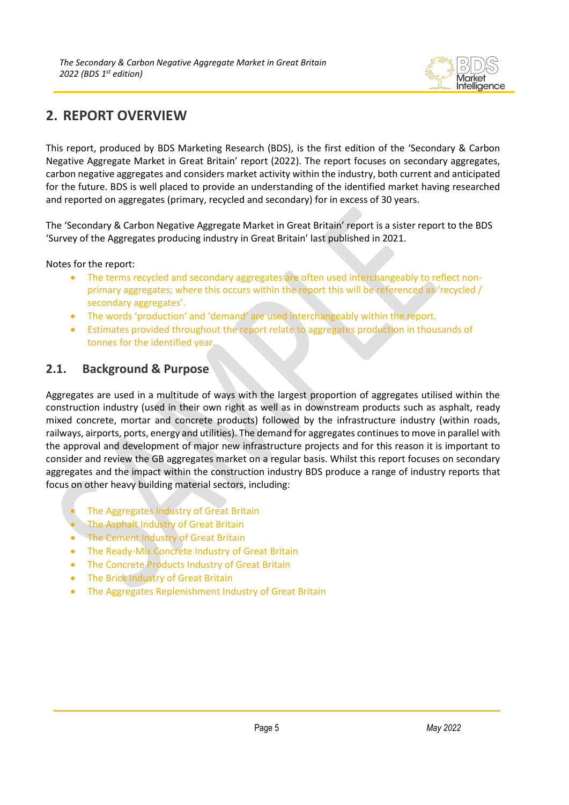

# <span id="page-5-0"></span>**2. REPORT OVERVIEW**

This report, produced by BDS Marketing Research (BDS), is the first edition of the 'Secondary & Carbon Negative Aggregate Market in Great Britain' report (2022). The report focuses on secondary aggregates, carbon negative aggregates and considers market activity within the industry, both current and anticipated for the future. BDS is well placed to provide an understanding of the identified market having researched and reported on aggregates (primary, recycled and secondary) for in excess of 30 years.

The 'Secondary & Carbon Negative Aggregate Market in Great Britain' report is a sister report to the BDS 'Survey of the Aggregates producing industry in Great Britain' last published in 2021.

Notes for the report:

- The terms recycled and secondary aggregates are often used interchangeably to reflect nonprimary aggregates; where this occurs within the report this will be referenced as 'recycled / secondary aggregates'.
- The words 'production' and 'demand' are used interchangeably within the report.
- Estimates provided throughout the report relate to aggregates production in thousands of tonnes for the identified year.

## <span id="page-5-1"></span>**2.1. Background & Purpose**

Aggregates are used in a multitude of ways with the largest proportion of aggregates utilised within the construction industry (used in their own right as well as in downstream products such as asphalt, ready mixed concrete, mortar and concrete products) followed by the infrastructure industry (within roads, railways, airports, ports, energy and utilities). The demand for aggregates continues to move in parallel with the approval and development of major new infrastructure projects and for this reason it is important to consider and review the GB aggregates market on a regular basis. Whilst this report focuses on secondary aggregates and the impact within the construction industry BDS produce a range of industry reports that focus on other heavy building material sectors, including:

- The Aggregates Industry of Great Britain
- The Asphalt Industry of Great Britain
- The Cement Industry of Great Britain
- The Ready-Mix Concrete Industry of Great Britain
- The Concrete Products Industry of Great Britain
- The Brick Industry of Great Britain
- The Aggregates Replenishment Industry of Great Britain